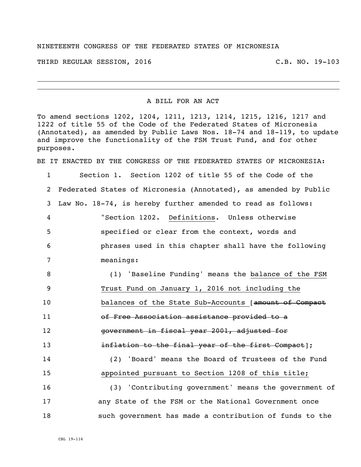## NINETEENTH CONGRESS OF THE FEDERATED STATES OF MICRONESIA

THIRD REGULAR SESSION, 2016 C.B. NO. 19-103

## A BILL FOR AN ACT

To amend sections 1202, 1204, 1211, 1213, 1214, 1215, 1216, 1217 and 1222 of title 55 of the Code of the Federated States of Micronesia (Annotated), as amended by Public Laws Nos. 18-74 and 18-119, to update and improve the functionality of the FSM Trust Fund, and for other purposes.

BE IT ENACTED BY THE CONGRESS OF THE FEDERATED STATES OF MICRONESIA:

 Section 1. Section 1202 of title 55 of the Code of the Federated States of Micronesia (Annotated), as amended by Public Law No. 18-74, is hereby further amended to read as follows: "Section 1202. Definitions. Unless otherwise specified or clear from the context, words and phrases used in this chapter shall have the following meanings: (1) 'Baseline Funding' means the balance of the FSM Trust Fund on January 1, 2016 not including the **balances of the State Sub-Accounts** [amount of Compact of Free Association assistance provided to a government in fiscal year 2001, adjusted for **inflation to the final year of the first Compact**]; (2) 'Board' means the Board of Trustees of the Fund appointed pursuant to Section 1208 of this title; (3) 'Contributing government' means the government of any State of the FSM or the National Government once such government has made a contribution of funds to the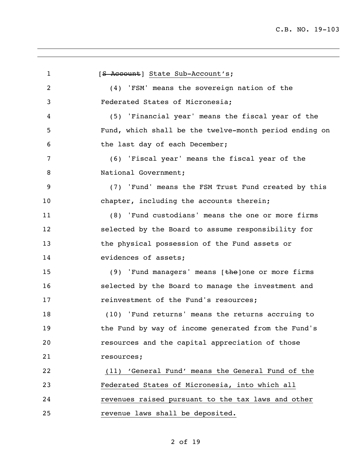1 [S Account] State Sub-Account's; (4) 'FSM' means the sovereign nation of the Federated States of Micronesia; (5) 'Financial year' means the fiscal year of the Fund, which shall be the twelve-month period ending on the last day of each December; (6) 'Fiscal year' means the fiscal year of the 8 National Government; (7) 'Fund' means the FSM Trust Fund created by this chapter, including the accounts therein; (8) 'Fund custodians' means the one or more firms selected by the Board to assume responsibility for the physical possession of the Fund assets or **evidences** of assets; 15 (9) 'Fund managers' means [the]one or more firms selected by the Board to manage the investment and **17** reinvestment of the Fund's resources; (10) 'Fund returns' means the returns accruing to the Fund by way of income generated from the Fund's resources and the capital appreciation of those resources; (11) 'General Fund' means the General Fund of the Federated States of Micronesia, into which all revenues raised pursuant to the tax laws and other revenue laws shall be deposited.

## of 19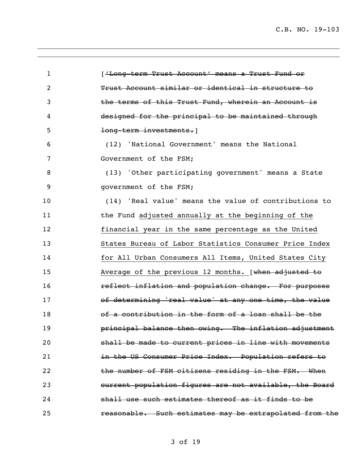C.B. NO. 19-103

| 1  | ['Long-term Trust Account' means a Trust Fund or        |
|----|---------------------------------------------------------|
| 2  | Trust Account similar or identical in structure to      |
| 3  | the terms of this Trust Fund, wherein an Account is     |
| 4  | designed for the principal to be maintained through     |
| 5  | long-term investments.                                  |
| 6  | (12) 'National Government' means the National           |
| 7  | Government of the FSM;                                  |
| 8  | (13) 'Other participating government' means a State     |
| 9  | government of the FSM;                                  |
| 10 | (14) 'Real value' means the value of contributions to   |
| 11 | the Fund adjusted annually at the beginning of the      |
| 12 | financial year in the same percentage as the United     |
| 13 | States Bureau of Labor Statistics Consumer Price Index  |
| 14 | for All Urban Consumers All Items, United States City   |
| 15 | Average of the previous 12 months. [when adjusted to    |
| 16 | reflect inflation and population change. For purposes   |
| 17 | of determining 'real value' at any one time, the value  |
| 18 | of a contribution in the form of a loan shall be the    |
| 19 | principal balance then owing. The inflation adjustment  |
| 20 | shall be made to current prices in line with movements  |
| 21 | in the US Consumer Price Index. Population refers to    |
| 22 | the number of FSM citizens residing in the FSM. When    |
| 23 | current population figures are not available, the Board |
| 24 | shall use such estimates thereof as it finds to be      |
| 25 | reasonable. Such estimates may be extrapolated from the |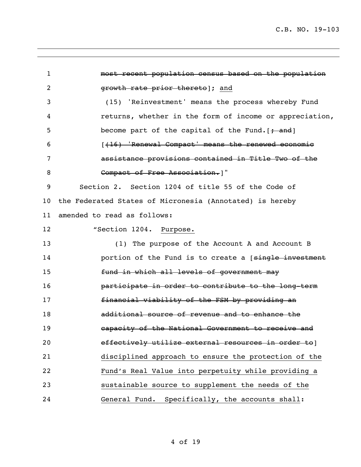most recent population census based on the population **growth rate prior thereto** and (15) 'Reinvestment' means the process whereby Fund returns, whether in the form of income or appreciation, 5 become part of the capital of the Fund.[<del>; and</del>] [(16) 'Renewal Compact' means the renewed economic assistance provisions contained in Title Two of the **Compact of Free Association.**]" Section 2. Section 1204 of title 55 of the Code of the Federated States of Micronesia (Annotated) is hereby amended to read as follows: **"Section 1204. Purpose.**  (1) The purpose of the Account A and Account B **portion of the Fund is to create a** [single investment **fund in which all levels of government may participate in order to contribute to the long-term**  financial viability of the FSM by providing an additional source of revenue and to enhance the capacity of the National Government to receive and **effectively utilize external resources in order to**] disciplined approach to ensure the protection of the Fund's Real Value into perpetuity while providing a sustainable source to supplement the needs of the General Fund. Specifically, the accounts shall: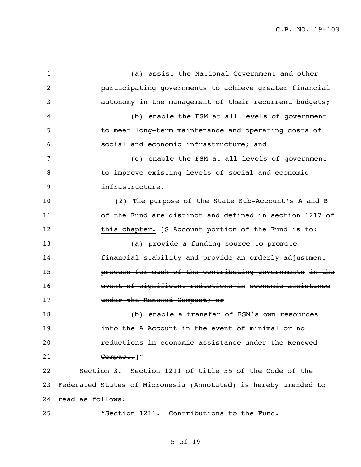(a) assist the National Government and other participating governments to achieve greater financial autonomy in the management of their recurrent budgets; (b) enable the FSM at all levels of government to meet long-term maintenance and operating costs of social and economic infrastructure; and (c) enable the FSM at all levels of government to improve existing levels of social and economic infrastructure. (2) The purpose of the State Sub-Account's A and B of the Fund are distinct and defined in section 1217 of 12 this chapter. [<del>S Account portion of the Fund is to:</del> 13 and the provide a funding source to promote **financial stability and provide an orderly adjustment**  process for each of the contributing governments in the event of significant reductions in economic assistance **under the Renewed Compact; or East of the Contract Control** Constant Control Constant Constant Constant Constant Constant Constant Constant Constant Constant Constant Constant Constant Constant Constant Constant Constant Constant Constant Constant **into the A Account in the event of minimal or no**  reductions in economic assistance under the Renewed **Compact.**]" Section 3. Section 1211 of title 55 of the Code of the Federated States of Micronesia (Annotated) is hereby amended to read as follows: "Section 1211. Contributions to the Fund.

## of 19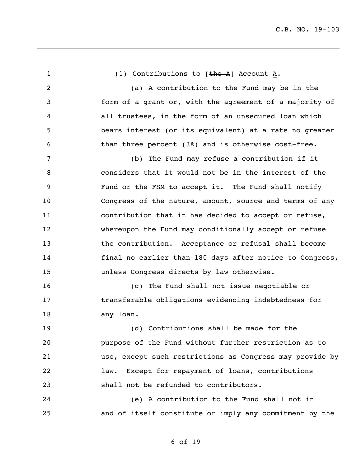1 (1) Contributions to [the A] Account A. (a) A contribution to the Fund may be in the form of a grant or, with the agreement of a majority of all trustees, in the form of an unsecured loan which bears interest (or its equivalent) at a rate no greater than three percent (3%) and is otherwise cost-free. (b) The Fund may refuse a contribution if it considers that it would not be in the interest of the Fund or the FSM to accept it. The Fund shall notify Congress of the nature, amount, source and terms of any contribution that it has decided to accept or refuse, whereupon the Fund may conditionally accept or refuse 13 the contribution. Acceptance or refusal shall become final no earlier than 180 days after notice to Congress, unless Congress directs by law otherwise. (c) The Fund shall not issue negotiable or transferable obligations evidencing indebtedness for any loan. (d) Contributions shall be made for the purpose of the Fund without further restriction as to use, except such restrictions as Congress may provide by law. Except for repayment of loans, contributions shall not be refunded to contributors. (e) A contribution to the Fund shall not in and of itself constitute or imply any commitment by the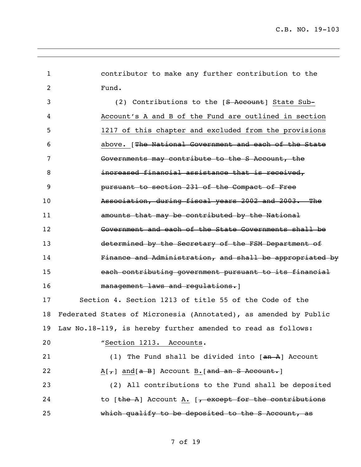contributor to make any further contribution to the Fund. 3 (2) Contributions to the [<del>S Account</del>] State Sub- Account's A and B of the Fund are outlined in section 1217 of this chapter and excluded from the provisions above. [The National Government and each of the State Governments may contribute to the S Account, the **increased financial assistance that is received,**  pursuant to section 231 of the Compact of Free Association, during fiscal years 2002 and 2003. The amounts that may be contributed by the National Government and each of the State Governments shall be 13 determined by the Secretary of the FSM Department of Finance and Administration, and shall be appropriated by each contributing government pursuant to its financial 16 management laws and regulations. Section 4. Section 1213 of title 55 of the Code of the Federated States of Micronesia (Annotated), as amended by Public Law No.18-119, is hereby further amended to read as follows: "Section 1213. Accounts. 21 (1) The Fund shall be divided into [an A] Account  $A[\tau]$  and  $[A - B]$  Account B.  $[and an S$  Account. (2) All contributions to the Fund shall be deposited 24 to  $[the A]$  Account A.  $[\frac{1}{2}, \frac{1}{2}]$  except for the contributions which qualify to be deposited to the S Account, as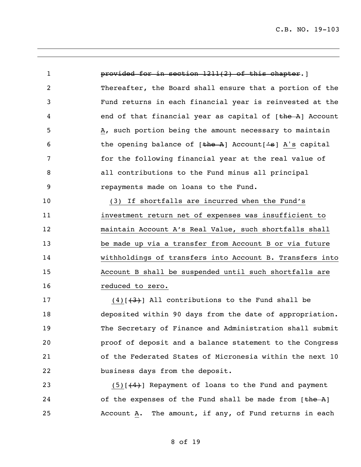**provided for in section 1211(2) of this chapter.**] Thereafter, the Board shall ensure that a portion of the Fund returns in each financial year is reinvested at the 4 end of that financial year as capital of [the A] Account A, such portion being the amount necessary to maintain 6 the opening balance of [the A] Account['s] A's capital for the following financial year at the real value of all contributions to the Fund minus all principal repayments made on loans to the Fund. (3) If shortfalls are incurred when the Fund's investment return net of expenses was insufficient to maintain Account A's Real Value, such shortfalls shall

 be made up via a transfer from Account B or via future withholdings of transfers into Account B. Transfers into Account B shall be suspended until such shortfalls are **reduced** to zero.

17 (4) $(4)$  (4)] All contributions to the Fund shall be deposited within 90 days from the date of appropriation. The Secretary of Finance and Administration shall submit proof of deposit and a balance statement to the Congress of the Federated States of Micronesia within the next 10 business days from the deposit.

23 (5)[(4)] Repayment of loans to the Fund and payment 24 of the expenses of the Fund shall be made from  $[\frac{the A}{ }]$ Account A. The amount, if any, of Fund returns in each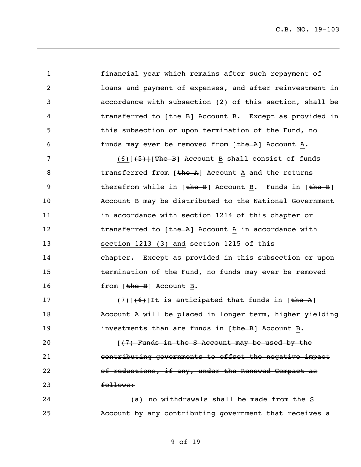C.B. NO. 19-103

1 financial year which remains after such repayment of 2 loans and payment of expenses, and after reinvestment in 3 accordance with subsection (2) of this section, shall be 4 transferred to [the B] Account B. Except as provided in 5 this subsection or upon termination of the Fund, no 6 funds may ever be removed from [the A] Account A. 7 (6)[(5)][The B] Account B shall consist of funds 8 transferred from [the A] Account A and the returns 9 therefrom while in [the B] Account B. Funds in [the B] 10 Account B may be distributed to the National Government 11 **in accordance with section 1214 of this chapter or** 12 transferred to [the A] Account A in accordance with 13 section 1213 (3) and section 1215 of this 14 chapter. Except as provided in this subsection or upon 15 termination of the Fund, no funds may ever be removed 16 from [the B] Account B. 17 (7)  $(6)$ ]It is anticipated that funds in  $[\frac{the}{2}]$ 18 Account A will be placed in longer term, higher yielding 19 19 investments than are funds in [the B] Account B.

 $\left[\frac{7}{7}\right]$  Funds in the S Account may be used by the contributing governments to offset the negative impact of reductions, if any, under the Renewed Compact as 23 **follows:** 

24 (a) no withdrawals shall be made from the S 25 Account by any contributing government that receives a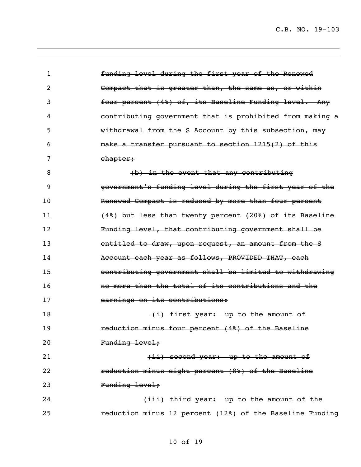| 1  | funding level during the first year of the Renewed       |
|----|----------------------------------------------------------|
| 2  | Compact that is greater than, the same as, or within     |
| 3  | four percent (4%) of, its Baseline Funding level. Any    |
| 4  | contributing government that is prohibited from making a |
| 5  | withdrawal from the S Account by this subsection, may    |
| 6  | make a transfer pursuant to section 1215(2) of this      |
| 7  | chapter;                                                 |
| 8  | (b) in the event that any contributing                   |
| 9  | government's funding level during the first year of the  |
| 10 | Renewed Compact is reduced by more than four percent     |
| 11 | (4%) but less than twenty percent (20%) of its Baseline  |
| 12 | Funding level, that contributing government shall be     |
| 13 | entitled to draw, upon request, an amount from the S     |
| 14 | Account each year as follows, PROVIDED THAT, each        |
| 15 | contributing government shall be limited to withdrawing  |
| 16 | no more than the total of its contributions and the      |
| 17 | earnings on its contributions:                           |
| 18 | (i) first year: up to the amount of                      |
| 19 | reduction minus four percent (4%) of the Baseline        |
| 20 | Funding level;                                           |
| 21 | (ii) second year: up to the amount of                    |
| 22 | reduction minus eight percent (8%) of the Baseline       |
| 23 | Funding level;                                           |
| 24 | (iii) third year: up to the amount of the                |
| 25 | reduction minus 12 percent (12%) of the Baseline Funding |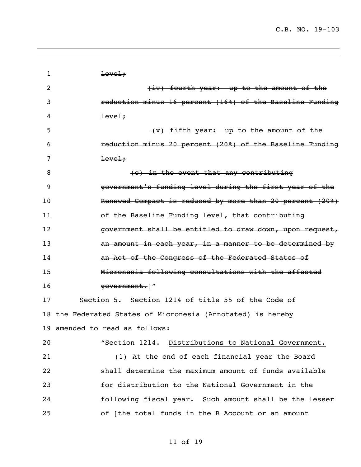| 1  | level.                                                      |
|----|-------------------------------------------------------------|
| 2  | (iv) fourth year: up to the amount of the                   |
| 3  | reduction minus 16 percent (16%) of the Baseline Funding    |
| 4  | level.                                                      |
| 5  | (v) fifth year: up to the amount of the                     |
| 6  | reduction minus 20 percent (20%) of the Baseline Funding    |
| 7  | level.                                                      |
| 8  | (c) in the event that any contributing                      |
| 9  | government's funding level during the first year of the     |
| 10 | Renewed Compact is reduced by more than 20 percent (20%)    |
| 11 | of the Baseline Funding level, that contributing            |
| 12 | government shall be entitled to draw down, upon request,    |
| 13 | an amount in each year, in a manner to be determined by     |
| 14 | an Act of the Congress of the Federated States of           |
| 15 | Micronesia following consultations with the affected        |
| 16 | government.  "                                              |
| 17 | Section 5. Section 1214 of title 55 of the Code of          |
|    | 18 the Federated States of Micronesia (Annotated) is hereby |
|    | 19 amended to read as follows:                              |
| 20 | "Section 1214. Distributions to National Government.        |
| 21 | (1) At the end of each financial year the Board             |
| 22 | shall determine the maximum amount of funds available       |
| 23 | for distribution to the National Government in the          |
| 24 | following fiscal year. Such amount shall be the lesser      |
| 25 | of [the total funds in the B Account or an amount           |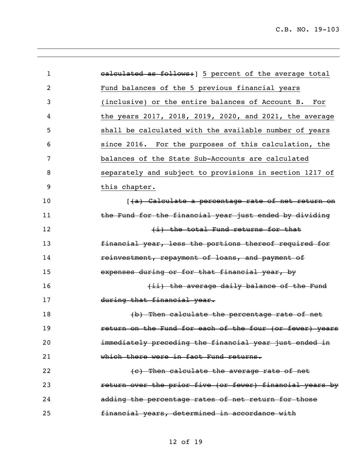| $\mathbf{1}$   | ealculated as follows:   5 percent of the average total  |
|----------------|----------------------------------------------------------|
| $\overline{2}$ | Fund balances of the 5 previous financial years          |
| 3              | (inclusive) or the entire balances of Account B.<br>For  |
| 4              | the years 2017, 2018, 2019, 2020, and 2021, the average  |
| 5              | shall be calculated with the available number of years   |
| 6              | since 2016. For the purposes of this calculation, the    |
| 7              | balances of the State Sub-Accounts are calculated        |
| 8              | separately and subject to provisions in section 1217 of  |
| 9              | this chapter.                                            |
| 10             | [(a) Calculate a percentage rate of net return on        |
| 11             | the Fund for the financial year just ended by dividing   |
| 12             | (i) the total Fund returns for that                      |
| 13             | financial year, less the portions thereof required for   |
| 14             | reinvestment, repayment of loans, and payment of         |
| 15             | expenses during or for that financial year, by           |
| 16             | (ii) the average daily balance of the Fund               |
| 17             | during that financial year.                              |
| 18             | (b) Then calculate the percentage rate of net            |
| 19             | return on the Fund for each of the four (or fewer) years |
| 20             | immediately preceding the financial year just ended in   |
| 21             | which there were in fact Fund returns.                   |
| 22             | (c) Then calculate the average rate of net               |
| 23             | return over the prior five (or fewer) financial years by |
| 24             | adding the percentage rates of net return for those      |
| 25             | financial years, determined in accordance with           |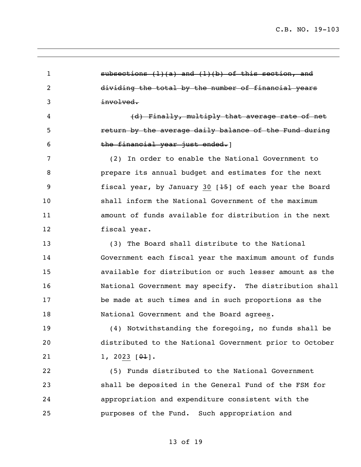$\blacksquare$  subsections (1)(a) and (1)(b) of this section, and dividing the total by the number of financial years involved. 4 (d) Finally, multiply that average rate of net return by the average daily balance of the Fund during 6 the financial year just ended. (2) In order to enable the National Government to prepare its annual budget and estimates for the next fiscal year, by January 30 [15] of each year the Board shall inform the National Government of the maximum amount of funds available for distribution in the next fiscal year. (3) The Board shall distribute to the National Government each fiscal year the maximum amount of funds available for distribution or such lesser amount as the National Government may specify. The distribution shall be made at such times and in such proportions as the 18 National Government and the Board agrees. (4) Notwithstanding the foregoing, no funds shall be distributed to the National Government prior to October  $1, 2023 [\theta]$ . (5) Funds distributed to the National Government shall be deposited in the General Fund of the FSM for appropriation and expenditure consistent with the purposes of the Fund. Such appropriation and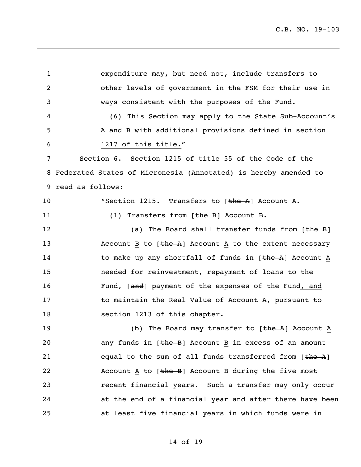1 expenditure may, but need not, include transfers to 2 other levels of government in the FSM for their use in 3 ways consistent with the purposes of the Fund. 4 (6) This Section may apply to the State Sub-Account's 5 A and B with additional provisions defined in section 6 1217 of this title." 7 Section 6. Section 1215 of title 55 of the Code of the 8 Federated States of Micronesia (Annotated) is hereby amended to 9 read as follows: 10 "Section 1215. Transfers to [the A] Account A. 11 (1) Transfers from [the B] Account B. 12 (a) The Board shall transfer funds from [<del>the</del> B] 13 Account B to [the A] Account A to the extent necessary 14 to make up any shortfall of funds in [the A] Account A 15 needed for reinvestment, repayment of loans to the 16 Fund, [and] payment of the expenses of the Fund, and 17 to maintain the Real Value of Account A, pursuant to 18 section 1213 of this chapter. 19 (b) The Board may transfer to [the A] Account A 20 any funds in [the B] Account B in excess of an amount 21 equal to the sum of all funds transferred from [the A] 22 Account A to  $[\frac{1}{2}]$  Account B during the five most 23 recent financial years. Such a transfer may only occur 24 at the end of a financial year and after there have been 25 at least five financial years in which funds were in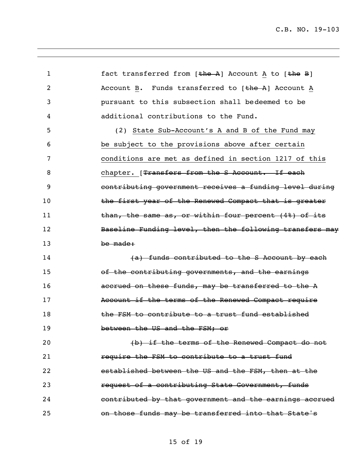1 fact transferred from [the A] Account A to [the B] 2 Account B. Funds transferred to [the A] Account A pursuant to this subsection shall bedeemed to be additional contributions to the Fund. (2) State Sub-Account's A and B of the Fund may be subject to the provisions above after certain conditions are met as defined in section 1217 of this 8 6 6 chapter. [<del>Transfers from the S Account. If each</del> contributing government receives a funding level during 10 the first year of the Renewed Compact that is greater **than, the same as, or within four percent (4%) of its** 12 Baseline Funding level, then the following transfers may be made: **14 (a)** funds contributed to the S Account by each of the contributing governments, and the earnings **accrued on these funds, may be transferred to the A Account if the terms of the Renewed Compact require the FSM to contribute to a trust fund established** 19 between the US and the FSM; or **b** the terms of the Renewed Compact do not **require the FSM to contribute to a trust fund**  established between the US and the FSM, then at the **request of a contributing State Government, funds contributed by that government and the earnings accrued** on those funds may be transferred into that State's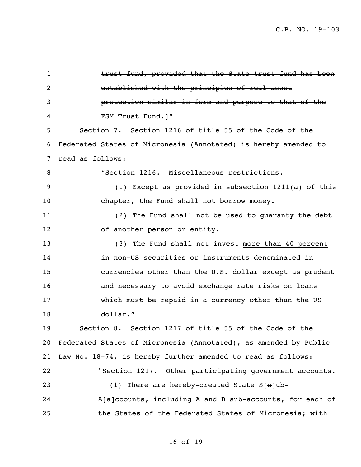1 trust fund, provided that the State trust fund has been established with the principles of real asset protection similar in form and purpose to that of the 4 FSM Trust Fund.]" Section 7. Section 1216 of title 55 of the Code of the Federated States of Micronesia (Annotated) is hereby amended to read as follows: "Section 1216. Miscellaneous restrictions. (1) Except as provided in subsection 1211(a) of this 10 chapter, the Fund shall not borrow money. (2) The Fund shall not be used to guaranty the debt 12 of another person or entity. (3) The Fund shall not invest more than 40 percent in non-US securities or instruments denominated in currencies other than the U.S. dollar except as prudent and necessary to avoid exchange rate risks on loans which must be repaid in a currency other than the US dollar." Section 8. Section 1217 of title 55 of the Code of the Federated States of Micronesia (Annotated), as amended by Public Law No. 18-74, is hereby further amended to read as follows: "Section 1217. Other participating government accounts. 23 (1) There are hereby-created State S[s]ub- A[a]ccounts, including A and B sub-accounts, for each of the States of the Federated States of Micronesia; with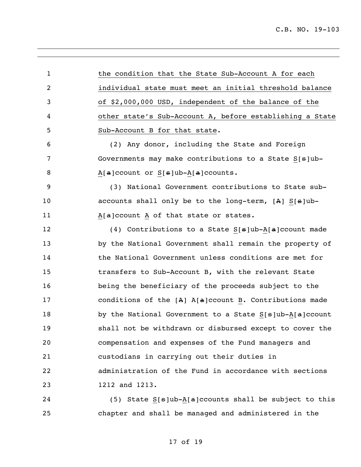1 the condition that the State Sub-Account A for each individual state must meet an initial threshold balance of \$2,000,000 USD, independent of the balance of the other state's Sub-Account A, before establishing a State Sub-Account B for that state. (2) Any donor, including the State and Foreign Governments may make contributions to a State S[s]ub- $A[a]$ ccount or  $S[s]$ ub- $A[a]$ ccounts. (3) National Government contributions to State sub-10 accounts shall only be to the long-term, [A] S[s]ub-11 A[a]ccount A of that state or states. 12 (4) Contributions to a State S[s]ub-A[a]ccount made by the National Government shall remain the property of the National Government unless conditions are met for transfers to Sub-Account B, with the relevant State being the beneficiary of the proceeds subject to the conditions of the [A] A[a]ccount B. Contributions made 18 by the National Government to a State S[s]ub-A[a]ccount shall not be withdrawn or disbursed except to cover the compensation and expenses of the Fund managers and custodians in carrying out their duties in administration of the Fund in accordance with sections 1212 and 1213. 24 (5) State S[s]ub-A[a]ccounts shall be subject to this chapter and shall be managed and administered in the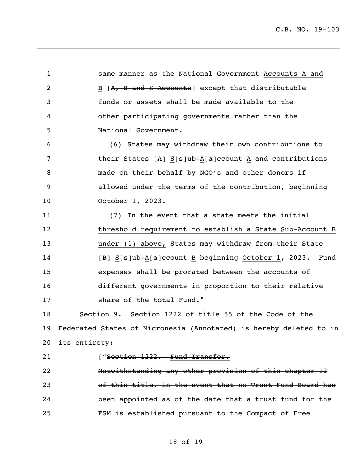C.B. NO. 19-103

 same manner as the National Government Accounts A and 2 B [A, B and S Accounts] except that distributable funds or assets shall be made available to the other participating governments rather than the National Government. (6) States may withdraw their own contributions to 7 their States [A] S[s]ub-A[a]ccount A and contributions made on their behalf by NGO's and other donors if allowed under the terms of the contribution, beginning October 1, 2023. (7) In the event that a state meets the initial threshold requirement to establish a State Sub-Account B under (1) above, States may withdraw from their State **[B]** S[s]ub-A[a]ccount B beginning October 1, 2023. Fund expenses shall be prorated between the accounts of different governments in proportion to their relative 17 Share of the total Fund." Section 9. Section 1222 of title 55 of the Code of the Federated States of Micronesia (Annotated) is hereby deleted to in its entirety: 21 ["Section 1222. Fund Transfer. Notwithstanding any other provision of this chapter 12 of this title, in the event that no Trust Fund Board has been appointed as of the date that a trust fund for the FSM is established pursuant to the Compact of Free